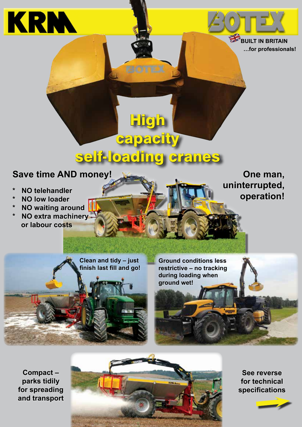

**BUILT IN BRITAIN …for professionals!** 

## self-loading cranes

capacity

<u>igh</u>

## **Save time AND money!**

- **\* NO telehandler**
- **\* NO low loader**
- **\* NO waiting around**
- **\* NO extra machinery or labour costs**

**One man, uninterrupted, operation!**

**Clean and tidy – just finish last fill and go!**

**Ground conditions less restrictive – no tracking during loading when ground wet!**

**Compact – parks tidily for spreading and transport**



**See reverse for technical specifications**